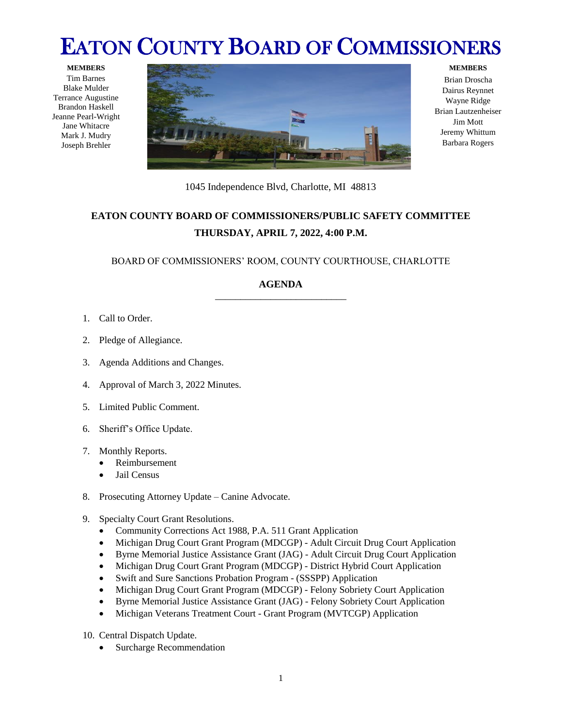## EATON COUNTY BOARD OF COMMISSIONERS

**MEMBERS** Tim Barnes Blake Mulder Terrance Augustine Brandon Haskell Jeanne Pearl-Wright Jane Whitacre Mark J. Mudry Joseph Brehler



## **MEMBERS**

Brian Droscha Dairus Reynnet Wayne Ridge Brian Lautzenheiser Jim Mott Jeremy Whittum Barbara Rogers

1045 Independence Blvd, Charlotte, MI 48813

## **EATON COUNTY BOARD OF COMMISSIONERS/PUBLIC SAFETY COMMITTEE THURSDAY, APRIL 7, 2022, 4:00 P.M.**

BOARD OF COMMISSIONERS' ROOM, COUNTY COURTHOUSE, CHARLOTTE

## **AGENDA** \_\_\_\_\_\_\_\_\_\_\_\_\_\_\_\_\_\_\_\_\_\_\_\_\_\_

- 1. Call to Order.
- 2. Pledge of Allegiance.
- 3. Agenda Additions and Changes.
- 4. Approval of March 3, 2022 Minutes.
- 5. Limited Public Comment.
- 6. Sheriff's Office Update.
- 7. Monthly Reports.
	- Reimbursement
	- Jail Census
- 8. Prosecuting Attorney Update Canine Advocate.
- 9. Specialty Court Grant Resolutions.
	- Community Corrections Act 1988, P.A. 511 Grant Application
	- Michigan Drug Court Grant Program (MDCGP) Adult Circuit Drug Court Application
	- Byrne Memorial Justice Assistance Grant (JAG) Adult Circuit Drug Court Application
	- Michigan Drug Court Grant Program (MDCGP) District Hybrid Court Application
	- Swift and Sure Sanctions Probation Program (SSSPP) Application
	- Michigan Drug Court Grant Program (MDCGP) Felony Sobriety Court Application
	- Byrne Memorial Justice Assistance Grant (JAG) Felony Sobriety Court Application
	- Michigan Veterans Treatment Court Grant Program (MVTCGP) Application
- 10. Central Dispatch Update.
	- Surcharge Recommendation